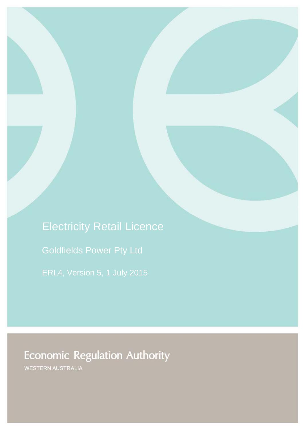Electricity Retail Licence Goldfields Power Pty Ltd ERL4, Version 5, 1 July 2015

# **Economic Regulation Authority**

WESTERN AUSTRALIA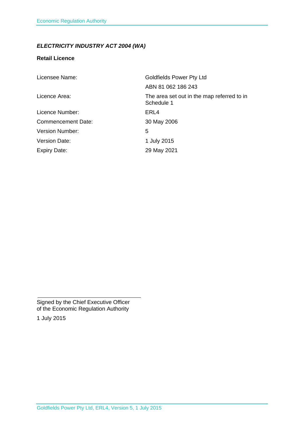### *ELECTRICITY INDUSTRY ACT 2004 (WA)*

#### **Retail Licence**

| Licensee Name:            | <b>Goldfields Power Pty Ltd</b>                          |
|---------------------------|----------------------------------------------------------|
|                           | ABN 81 062 186 243                                       |
| Licence Area:             | The area set out in the map referred to in<br>Schedule 1 |
| Licence Number:           | ERL4                                                     |
| <b>Commencement Date:</b> | 30 May 2006                                              |
| <b>Version Number:</b>    | 5                                                        |
| <b>Version Date:</b>      | 1 July 2015                                              |
| <b>Expiry Date:</b>       | 29 May 2021                                              |

Signed by the Chief Executive Officer of the Economic Regulation Authority

1 July 2015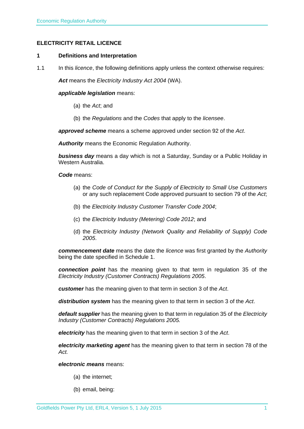#### **ELECTRICITY RETAIL LICENCE**

#### **1 Definitions and Interpretation**

1.1 In this *licence*, the following definitions apply unless the context otherwise requires:

*Act* means the *Electricity Industry Act 2004* (WA).

#### *applicable legislation* means:

- (a) the *Act*; and
- (b) the *Regulations* and the *Codes* that apply to the *licensee*.

*approved scheme* means a scheme approved under section 92 of the *Act*.

*Authority* means the Economic Regulation Authority.

*business day* means a day which is not a Saturday, Sunday or a Public Holiday in Western Australia.

#### *Code* means:

- (a) the *Code of Conduct for the Supply of Electricity to Small Use Customers* or any such replacement Code approved pursuant to section 79 of the *Act*;
- (b) the *Electricity Industry Customer Transfer Code 2004*;
- (c) the *Electricity Industry (Metering) Code 2012*; and
- (d) the *Electricity Industry (Network Quality and Reliability of Supply) Code 2005*.

*commencement date* means the date the *licence* was first granted by the *Authority* being the date specified in Schedule 1.

*connection point* has the meaning given to that term in regulation 35 of the *Electricity Industry (Customer Contracts) Regulations 2005*.

*customer* has the meaning given to that term in section 3 of the *Act*.

*distribution system* has the meaning given to that term in section 3 of the *Act*.

*default supplier* has the meaning given to that term in regulation 35 of the *Electricity Industry (Customer Contracts) Regulations 2005.* 

*electricity* has the meaning given to that term in section 3 of the *Act*.

*electricity marketing agent* has the meaning given to that term in section 78 of the *Act.*

*electronic means* means:

- (a) the internet;
- (b) email, being: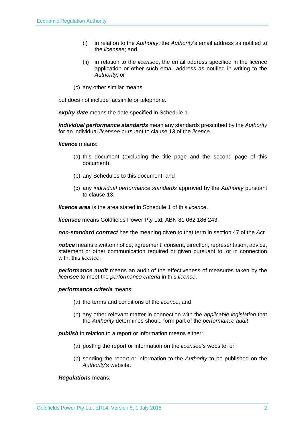- (i) in relation to the *Authority*, the *Authority*'s email address as notified to the *licensee*; and
- (ii) in relation to the *licensee*, the email address specified in the licence application or other such email address as notified in writing to the *Authority*; or
- (c) any other similar means,

but does not include facsimile or telephone.

*expiry date* means the date specified in Schedule 1.

*individual performance standards* mean any standards prescribed by the *Authority* for an individual *licensee* pursuant to clause 13 of the *licence*.

*licence* means:

- (a) this document (excluding the title page and the second page of this document);
- (b) any Schedules to this document; and
- (c) any *individual performance standards* approved by the *Authority* pursuant to clause 13.

*licence area* is the area stated in Schedule 1 of this *licence*.

*licensee* means Goldfields Power Pty Ltd, ABN 81 062 186 243.

*non-standard contract* has the meaning given to that term in section 47 of the *Act*.

*notice* means a written notice, agreement, consent, direction, representation, advice, statement or other communication required or given pursuant to, or in connection with, this *licence*.

*performance audit* means an audit of the effectiveness of measures taken by the *licensee* to meet the *performance criteria* in this *licence*.

#### *performance criteria* means:

- (a) the terms and conditions of the *licence*; and
- (b) any other relevant matter in connection with the *applicable legislation* that the *Authority* determines should form part of the *performance audit*.

*publish* in relation to a report or information means either:

- (a) posting the report or information on the *licensee*'s website; or
- (b) sending the report or information to the *Authority* to be published on the *Authority*'s website.

#### *Regulations* means: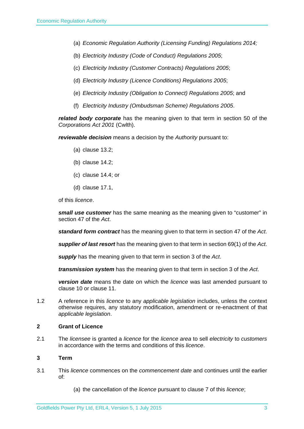- (a) *Economic Regulation Authority (Licensing Funding) Regulations 2014;*
- (b) *Electricity Industry (Code of Conduct) Regulations 2005*;
- (c) *Electricity Industry (Customer Contracts) Regulations 2005*;
- (d) *Electricity Industry (Licence Conditions) Regulations 2005*;
- (e) *Electricity Industry (Obligation to Connect) Regulations 2005*; and
- (f) *Electricity Industry (Ombudsman Scheme) Regulations 2005*.

*related body corporate* has the meaning given to that term in section 50 of the *Corporations Act 2001* (Cwlth).

*reviewable decision* means a decision by the *Authority* pursuant to:

- (a) clause 13.2;
- (b) clause 14.2;
- (c) clause 14.4; or
- (d) clause 17.1,

of this *licence*.

*small use customer* has the same meaning as the meaning given to "customer" in section 47 of the *Act*.

*standard form contract* has the meaning given to that term in section 47 of the *Act*.

*supplier of last resort* has the meaning given to that term in section 69(1) of the *Act*.

*supply* has the meaning given to that term in section 3 of the *Act*.

*transmission system* has the meaning given to that term in section 3 of the *Act*.

*version date* means the date on which the *licence* was last amended pursuant to clause 10 or clause 11.

1.2 A reference in this *licence* to any *applicable legislation* includes, unless the context otherwise requires, any statutory modification, amendment or re-enactment of that *applicable legislation*.

#### **2 Grant of Licence**

2.1 The *licensee* is granted a *licence* for the *licence area* to sell *electricity* to *customers* in accordance with the terms and conditions of this *licence*.

#### **3 Term**

- 3.1 This *licence* commences on the *commencement date* and continues until the earlier of:
	- (a) the cancellation of the *licence* pursuant to clause 7 of this *licence*;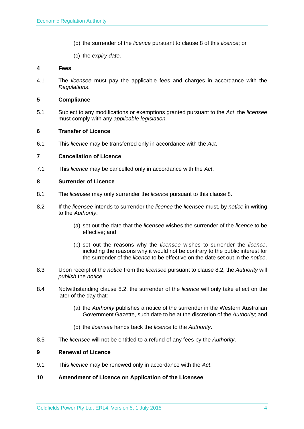- (b) the surrender of the *licence* pursuant to clause 8 of this *licence*; or
- (c) the *expiry date*.

#### **4 Fees**

4.1 The *licensee* must pay the applicable fees and charges in accordance with the *Regulations*.

#### **5 Compliance**

5.1 Subject to any modifications or exemptions granted pursuant to the *Act*, the *licensee* must comply with any *applicable legislation.* 

#### **6 Transfer of Licence**

6.1 This *licence* may be transferred only in accordance with the *Act*.

#### **7 Cancellation of Licence**

7.1 This *licence* may be cancelled only in accordance with the *Act*.

#### **8 Surrender of Licence**

- 8.1 The *licensee* may only surrender the *licence* pursuant to this clause 8.
- 8.2 If the *licensee* intends to surrender the *licence* the *licensee* must, by *notice* in writing to the *Authority*:
	- (a) set out the date that the *licensee* wishes the surrender of the *licence* to be effective; and
	- (b) set out the reasons why the *licensee* wishes to surrender the *licence*, including the reasons why it would not be contrary to the public interest for the surrender of the *licence* to be effective on the date set out in the *notice*.
- 8.3 Upon receipt of the *notice* from the *licensee* pursuant to clause 8.2, the *Authority* will *publish* the *notice*.
- 8.4 Notwithstanding clause 8.2, the surrender of the *licence* will only take effect on the later of the day that:
	- (a) the *Authority* publishes a notice of the surrender in the Western Australian Government Gazette, such date to be at the discretion of the *Authority*; and
	- (b) the *licensee* hands back the *licence* to the *Authority*.
- 8.5 The *licensee* will not be entitled to a refund of any fees by the *Authority*.

#### **9 Renewal of Licence**

- 9.1 This *licence* may be renewed only in accordance with the *Act*.
- **10 Amendment of Licence on Application of the Licensee**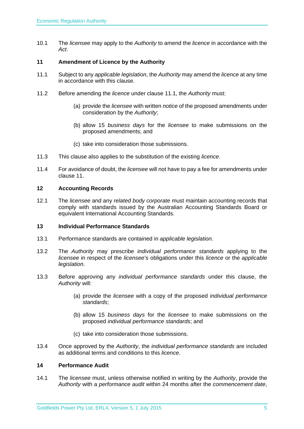10.1 The *licensee* may apply to the *Authority* to amend the *licence* in accordance with the *Act*.

#### **11 Amendment of Licence by the Authority**

- 11.1 Subject to any *applicable legislation*, the *Authority* may amend the *licence* at any time in accordance with this clause.
- 11.2 Before amending the *licence* under clause 11.1, the *Authority* must:
	- (a) provide the *licensee* with written *notice* of the proposed amendments under consideration by the *Authority*;
	- (b) allow 15 *business days* for the *licensee* to make submissions on the proposed amendments; and
	- (c) take into consideration those submissions.
- 11.3 This clause also applies to the substitution of the existing *licence*.
- 11.4 For avoidance of doubt, the *licensee* will not have to pay a fee for amendments under clause 11.

#### **12 Accounting Records**

12.1 The *licensee* and any *related body corporate* must maintain accounting records that comply with standards issued by the Australian Accounting Standards Board or equivalent International Accounting Standards.

#### **13 Individual Performance Standards**

- 13.1 Performance standards are contained in *applicable legislation*.
- 13.2 The *Authority* may prescribe *individual performance standards* applying to the *licensee* in respect of the *licensee*'s obligations under this *licence* or the *applicable legislation*.
- 13.3 Before approving any *individual performance standards* under this clause, the *Authority* will:
	- (a) provide the *licensee* with a copy of the proposed *individual performance standards*;
	- (b) allow 15 *business days* for the *licensee* to make submissions on the proposed *individual performance standards*; and
	- (c) take into consideration those submissions.
- 13.4 Once approved by the *Authority*, the *individual performance standards* are included as additional terms and conditions to this *licence*.

#### **14 Performance Audit**

14.1 The *licensee* must, unless otherwise notified in writing by the *Authority*, provide the *Authority* with a *performance audit* within 24 months after the *commencement date*,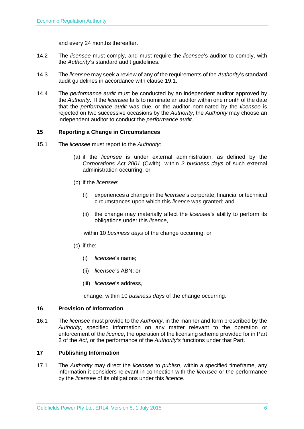and every 24 months thereafter.

- 14.2 The *licensee* must comply, and must require the *licensee*'s auditor to comply, with the *Authority*'s standard audit guidelines.
- 14.3 The *licensee* may seek a review of any of the requirements of the *Authority*'s standard audit guidelines in accordance with clause 19.1.
- 14.4 The *performance audit* must be conducted by an independent auditor approved by the *Authority*. If the *licensee* fails to nominate an auditor within one month of the date that the *performance audit* was due, or the auditor nominated by the *licensee* is rejected on two successive occasions by the *Authority*, the *Authority* may choose an independent auditor to conduct the *performance audit*.

#### **15 Reporting a Change in Circumstances**

- 15.1 The *licensee* must report to the *Authority*:
	- (a) if the *licensee* is under external administration, as defined by the *Corporations Act 2001* (Cwlth)*,* within *2 business days* of such external administration occurring; or
	- (b) if the *licensee*:
		- (i) experiences a change in the *licensee*'s corporate, financial or technical circumstances upon which this *licence* was granted; and
		- (ii) the change may materially affect the *licensee*'s ability to perform its obligations under this *licence*,

within 10 *business days* of the change occurring; or

- (c) if the:
	- (i) *licensee*'s name;
	- (ii) *licensee*'s ABN; or
	- (iii) *licensee*'s address,

change, within 10 *business days* of the change occurring.

#### **16 Provision of Information**

16.1 The *licensee* must provide to the *Authority*, in the manner and form prescribed by the *Authority*, specified information on any matter relevant to the operation or enforcement of the *licence*, the operation of the licensing scheme provided for in Part 2 of the *Act*, or the performance of the *Authority's* functions under that Part.

#### **17 Publishing Information**

17.1 The *Authority* may direct the *licensee* to *publish*, within a specified timeframe, any information it considers relevant in connection with the *licensee* or the performance by the *licensee* of its obligations under this *licence*.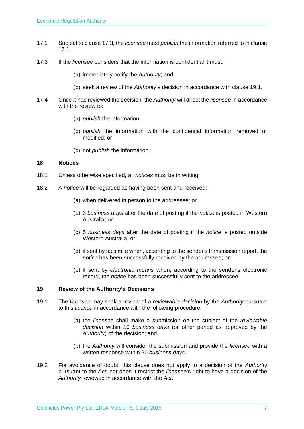- 17.2 Subject to clause 17.3, the *licensee* must *publish* the information referred to in clause 17.1.
- 17.3 If the *licensee* considers that the information is confidential it must:
	- (a) immediately notify the *Authority*; and
	- (b) seek a review of the *Authority*'s decision in accordance with clause 19.1.
- 17.4 Once it has reviewed the decision, the *Authority* will direct the *licensee* in accordance with the review to:
	- (a) *publish* the information;
	- (b) *publish* the information with the confidential information removed or modified; or
	- (c) not *publish* the information.

#### **18 Notices**

- 18.1 Unless otherwise specified, all *notices* must be in writing.
- 18.2 A *notice* will be regarded as having been sent and received:
	- (a) when delivered in person to the addressee; or
	- (b) 3 *business days* after the date of posting if the *notice* is posted in Western Australia; or
	- (c) 5 *business days* after the date of posting if the *notice* is posted outside Western Australia; or
	- (d) if sent by facsimile when, according to the sender's transmission report, the *notice* has been successfully received by the addressee; or
	- (e) if sent by *electronic means* when, according to the sender's electronic record, the *notice* has been successfully sent to the addressee.

#### **19 Review of the Authority's Decisions**

- 19.1 The *licensee* may seek a review of a *reviewable decision* by the *Authority* pursuant to this *licence* in accordance with the following procedure:
	- (a) the *licensee* shall make a submission on the subject of the *reviewable decision* within 10 *business days* (or other period as approved by the *Authority*) of the decision; and
	- (b) the *Authority* will consider the submission and provide the *licensee* with a written response within 20 *business days*.
- 19.2 For avoidance of doubt, this clause does not apply to a decision of the *Authority* pursuant to the *Act*, nor does it restrict the *licensee*'s right to have a decision of the *Authority* reviewed in accordance with the *Act*.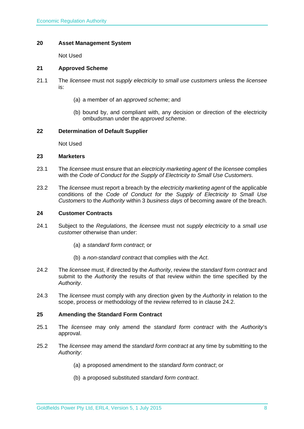#### **20 Asset Management System**

Not Used

#### **21 Approved Scheme**

- 21.1 The *licensee* must not *supply electricity* to *small use customers* unless the *licensee* is:
	- (a) a member of an *approved schem*e; and
	- (b) bound by, and compliant with, any decision or direction of the electricity ombudsman under the *approved scheme*.

#### **22 Determination of Default Supplier**

Not Used

#### **23 Marketers**

- 23.1 The *licensee* must ensure that an *electricity marketing agent* of the *licensee* complies with the *Code of Conduct for the Supply of Electricity to Small Use Customers*.
- 23.2 The *licensee* must report a breach by the *electricity marketing agent* of the applicable conditions of the *Code of Conduct for the Supply of Electricity to Small Use Customers* to the *Authority* within 3 *business days* of becoming aware of the breach.

#### **24 Customer Contracts**

- 24.1 Subject to the *Regulations*, the *license*e must not *supply electricity* to a *small use customer* otherwise than under:
	- (a) a *standard form contract*; or
	- (b) a *non-standard contract* that complies with the *Act*.
- 24.2 The *licensee* must, if directed by the *Authority*, review the *standard form contract* and submit to the *Authorit*y the results of that review within the time specified by the *Authority*.
- 24.3 The *licensee* must comply with any direction given by the *Authority* in relation to the scope, process or methodology of the review referred to in clause 24.2.

#### **25 Amending the Standard Form Contract**

- 25.1 The *licensee* may only amend the *standard form contract* with the *Authority*'s approval.
- 25.2 The *licensee* may amend the *standard form contract* at any time by submitting to the *Authority*:
	- (a) a proposed amendment to the *standard form contract*; or
	- (b) a proposed substituted *standard form contract*.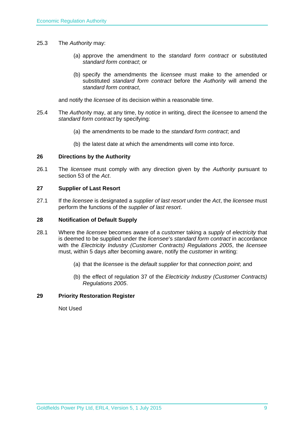- 25.3 The *Authority* may:
	- (a) approve the amendment to the *standard form contract* or substituted *standard form contract*; or
	- (b) specify the amendments the *licensee* must make to the amended or substituted *standard form contract* before the *Authority* will amend the *standard form contract*,

and notify the *licensee* of its decision within a reasonable time.

- 25.4 The *Authorit*y may, at any time, by *notice* in writing, direct the *licensee* to amend the *standard form contract* by specifying:
	- (a) the amendments to be made to the *standard form contract*; and
	- (b) the latest date at which the amendments will come into force.

#### **26 Directions by the Authority**

26.1 The *licensee* must comply with any direction given by the *Authority* pursuant to section 53 of the *Act*.

#### **27 Supplier of Last Resort**

27.1 If the *licensee* is designated a *supplier of last resort* under the *Act*, the *licensee* must perform the functions of the *supplier of last resort*.

#### **28 Notification of Default Supply**

- 28.1 Where the *licensee* becomes aware of a *customer* taking a *supply* of *electricity* that is deemed to be supplied under the *licensee*'s *standard form contract* in accordance with the *Electricity Industry (Customer Contracts) Regulations 2005*, the *licensee* must, within 5 days after becoming aware, notify the *customer* in writing:
	- (a) that the *licensee* is the *default supplier* for that *connection point*; and
	- (b) the effect of regulation 37 of the *Electricity Industry (Customer Contracts) Regulations 2005*.

#### **29 Priority Restoration Register**

Not Used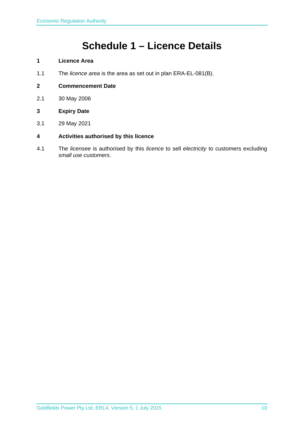## **Schedule 1 – Licence Details**

- **1 Licence Area**
- 1.1 The *licence area* is the area as set out in plan ERA-EL-081(B).
- **2 Commencement Date**
- 2.1 30 May 2006
- **3 Expiry Date**
- 3.1 29 May 2021

#### **4 Activities authorised by this licence**

4.1 The *licensee* is authorised by this *licence* to sell *electricity* to customers excluding *small use customers*.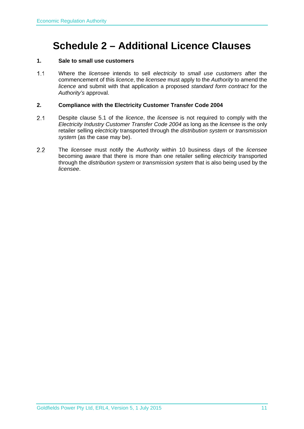### **Schedule 2 – Additional Licence Clauses**

#### **1. Sale to small use customers**

 Where the *licensee* intends to sell *electricity* to *small use customers* after the commencement of this *licence*, the *licensee* must apply to the *Authority* to amend the *licence* and submit with that application a proposed *standard form contract* for the *Authority's* approval.

#### **2. Compliance with the Electricity Customer Transfer Code 2004**

- Despite clause 5.1 of the *licence*, the *licensee* is not required to comply with the *Electricity Industry Customer Transfer Code 2004* as long as the *licensee* is the only retailer selling *electricity* transported through the *distribution system* or *transmission system* (as the case may be).
- The *licensee* must notify the *Authority* within 10 business days of the *licensee* becoming aware that there is more than one retailer selling *electricity* transported through the *distribution system* or *transmission system* that is also being used by the *licensee*.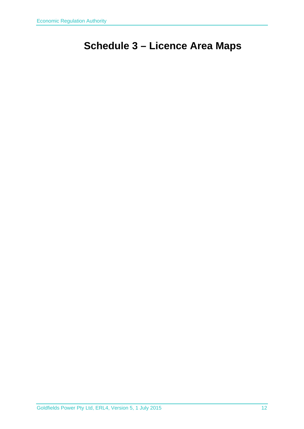# **Schedule 3 – Licence Area Maps**